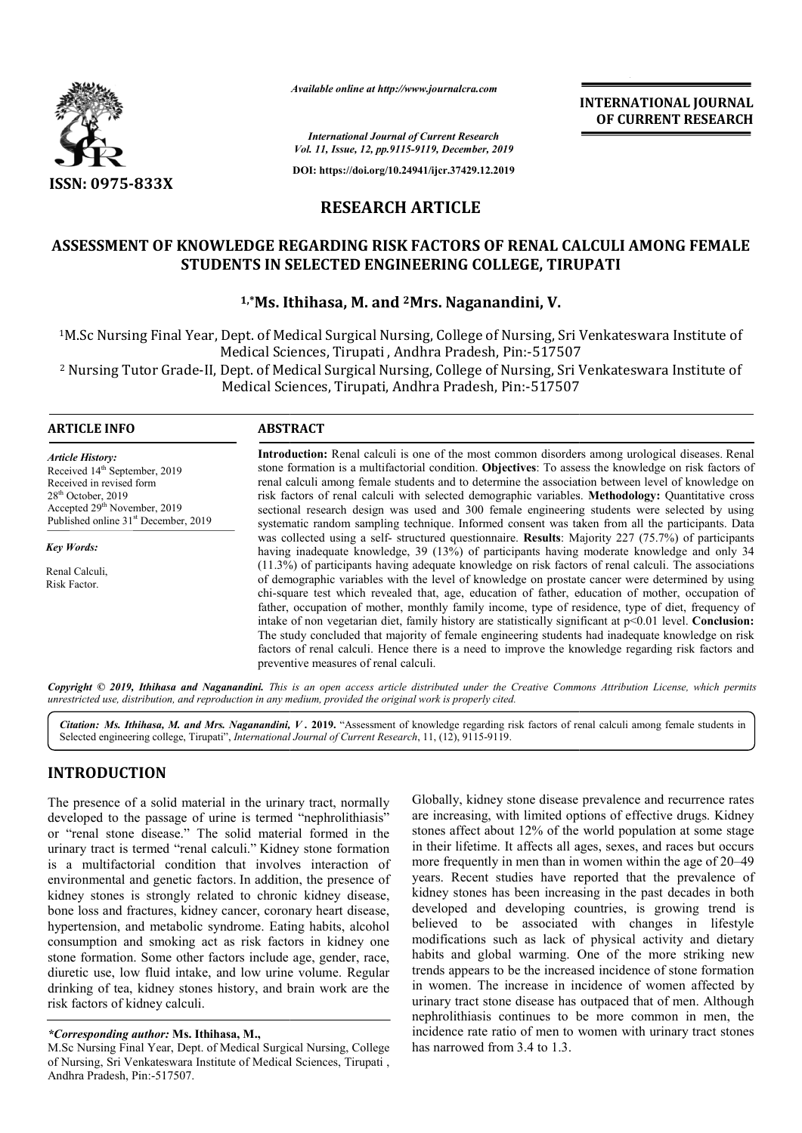

*Available online at http://www.journalcra.com*

**INTERNATIONAL JOURNAL OF CURRENT RESEARCH**

*International Journal of Current Research Vol. 11, Issue, 12, pp.9115-9119, December, 2019*

**DOI: https://doi.org/10.24941/ijcr.37429.12.2019**

# **RESEARCH ARTICLE**

# ASSESSMENT OF KNOWLEDGE REGARDING RISK FACTORS OF RENAL CALCULI AMONG FEMALE<br>STUDENTS IN SELECTED ENGINEERING COLLEGE, TIRUPATI **STUDENTS IN SELECTED ENGINEERING COLLEGE, TIRUPATI**

# <sup>1,\*</sup>Ms. Ithihasa, M. and <sup>2</sup>Mrs. Naganandini, V.

1M.Sc Nursing Final Year, Dept. of Medical Surgical Nursing, College of Nursing, Sri Venkateswara Institute of M.Sc Pin:-517507 Medical Sciences, Tirupati , Andhra Pradesh, Pin: <sup>2</sup> Nursing Tutor Grade-II, Dept. of Medical Surgical Nursing, College of Nursing, Sri Venkateswara Institute of Dept. of Medical Surgical Nursing, College of Nursing, Sri Venkateswara Institute of<br>Medical Sciences, Tirupati , Andhra Pradesh, Pin:-517507<br>Dept. of Medical Surgical Nursing, College of Nursing, Sri Venkateswara Institut

II, Dept. of Medical Surgical Nursing, College of Nursing, Sri<br>Medical Sciences, Tirupati, Andhra Pradesh, Pin:-517507

## **ARTICLE INFO ABSTRACT**

*Article History:* Received 14<sup>th</sup> September, 2019 Received in revised form  $28<sup>th</sup>$  October, 2019 Accepted 29<sup>th</sup> November, 2019 Published online 31<sup>st</sup> December, 2019

*Key Words:*

Renal Calculi, Risk Factor.

Introduction: Renal calculi is one of the most common disorders among urological diseases. Renal stone formation is a multifactorial condition. **Objectives**: To assess the knowledge on risk factors of renal calculi among female students and to determine the association between level of knowledge on stone formation is a multifactorial condition. Objectives: To assess the knowledge on risk factors of renal calculi with selected demographic variables. Methodology: Quantitative cross risk factors of renal calculi with se sectional research design was used and 300 female engineering students were selected by using systematic random sampling technique. Informed consent was taken from all the participants. Data was collected using a self- structured questionnaire. **Results**: Majority 227 (75.7%) of participants having inadequate knowledge, 39 (13%) of participants having moderate knowledge and only 34 sectional research design was used and 300 female engineering students were selected by using<br>systematic random sampling technique. Informed consent was taken from all the participants. Data<br>was collected using a self- str of demographic variables with the level of knowledge on prostate cancer were determined by using chi-square test which revealed that, age, education of father, education of mother, occupation of chi-square test which revealed that, age, education of father, education of mother, occupation of father, occupation of mother, monthly family income, type of residence, type of diet, frequency of of demographic variables with the level of knowledge on prostate cancer were determined by using chi-square test which revealed that, age, education of father, education of mother, occupation of father, occupation of mothe The study concluded that majority of female engineering students had inadequate knowledge on risk factors of renal calculi. Hence there is a need to improve the knowledge regarding risk factors and preventive measures of renal calculi.

Copyright © 2019, Ithihasa and Naganandini. This is an open access article distributed under the Creative Commons Attribution License, which permits *unrestricted use, distribution, and reproduction in any medium, provided the original work is properly cited.*

Citation: Ms. Ithihasa, M. and Mrs. Naganandini, V. 2019. "Assessment of knowledge regarding risk factors of renal calculi among female students in Selected engineering college, Tirupati", *International Journal of Current Research*, 11, (12), 9115-9119.

# **INTRODUCTION**

The presence of a solid material in the urinary tract, normally developed to the passage of urine is termed "nephrolithiasis" or "renal stone disease." The solid material formed in the urinary tract is termed "renal calculi." Kidney stone formation is a multifactorial condition that involves interaction of environmental and genetic factors. In addition, the presence of kidney stones is strongly related to chronic kidney disease, bone loss and fractures, kidney cancer, coronary heart disease, is a multifactorial condition that involves interaction of environmental and genetic factors. In addition, the presence of kidney stones is strongly related to chronic kidney disease, bone loss and fractures, kidney cancer consumption and smoking act as risk factors in kidney one stone formation. Some other factors include age, gender, race, diuretic use, low fluid intake, and low urine volume. Regular drinking of tea, kidney stones history, and brain work are the risk factors of kidney calculi.

Globally, kidney stone disease prevalence and recurrence rates are increasing, with limited options of effective drugs. Kidney stones affect about 12% of the world population at some stage in their lifetime. It affects all ages, sexes, and races but occurs more frequently in men than in women within the age of 20–49 years. Recent studies have reported that the prevalence of kidney stones has been increasing in the past decades in both developed and developing countries, is growing trend is believed to be associated with changes in lifestyle modifications such as lack of physical activity and dietary habits and global warming. One of the more striking new trends appears to be the increased incidence of stone formation in women. The increase in incidence of women affected by urinary tract stone disease has outpaced that of men. Although nephrolithiasis continues to be more common in men, the incidence rate ratio of men to women with urinary tract stones has narrowed from 3.4 to 1.3. Globally, kidney stone disease prevalence and recurrence rates<br>are increasing, with limited options of effective drugs. Kidney<br>stones affect about 12% of the world population at some stage<br>in their lifetime. It affects all kidney stones has been increasing in the past decades in both<br>developed and developing countries, is growing trend is<br>believed to be associated with changes in lifestyle<br>modifications such as lack of physical activity and **ATIONAL JOURNAL**<br>**ATIONAL JOURNAL**<br> **IRRENT RESEARCH**<br> **IRRENT RESEARCH**<br> **INNONG FEMALE**<br> **IRRENT RESEARCH**<br> **INNONG FEMALE**<br> **INNONG FEMALE**<br> **INNONG FEMALE**<br> **INNONG FEMALE**<br> **INNONG FEMALE**<br> **INNONG FEMALE**<br> **INNONG F** 

*<sup>\*</sup>Corresponding author:* **Ms. Ithihasa, M.,**

M.Sc Nursing Final Year, Dept. of Medical Surgical Nursing, College of Nursing, Sri Venkateswara Institute of Medical Sciences, Tirupati , Andhra Pradesh, Pin:-517507.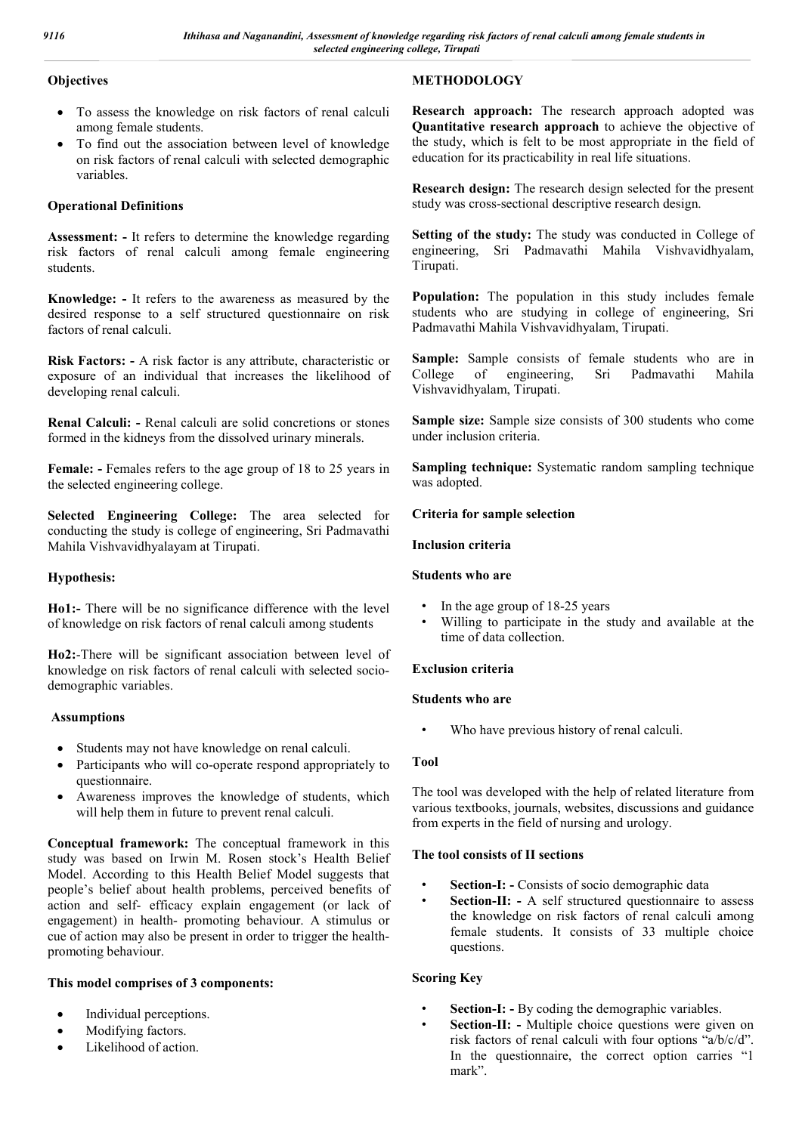## **Objectives**

- To assess the knowledge on risk factors of renal calculi among female students.
- To find out the association between level of knowledge on risk factors of renal calculi with selected demographic variables.

## **Operational Definitions**

**Assessment: -** It refers to determine the knowledge regarding risk factors of renal calculi among female engineering students.

**Knowledge: -** It refers to the awareness as measured by the desired response to a self structured questionnaire on risk factors of renal calculi.

**Risk Factors: -** A risk factor is any attribute, characteristic or exposure of an individual that increases the likelihood of developing renal calculi.

**Renal Calculi: -** Renal calculi are solid concretions or stones formed in the kidneys from the dissolved urinary minerals.

**Female: -** Females refers to the age group of 18 to 25 years in the selected engineering college.

**Selected Engineering College:** The area selected for conducting the study is college of engineering, Sri Padmavathi Mahila Vishvavidhyalayam at Tirupati.

## **Hypothesis:**

**Ho1:-** There will be no significance difference with the level of knowledge on risk factors of renal calculi among students

**Ho2:**-There will be significant association between level of knowledge on risk factors of renal calculi with selected sociodemographic variables.

## **Assumptions**

- Students may not have knowledge on renal calculi.
- Participants who will co-operate respond appropriately to questionnaire.
- Awareness improves the knowledge of students, which will help them in future to prevent renal calculi.

**Conceptual framework:** The conceptual framework in this study was based on Irwin M. Rosen stock's Health Belief Model. According to this Health Belief Model suggests that people's belief about health problems, perceived benefits of action and self- efficacy explain engagement (or lack of engagement) in health- promoting behaviour. A stimulus or cue of action may also be present in order to trigger the healthpromoting behaviour.

## **This model comprises of 3 components:**

- Individual perceptions.
- Modifying factors.
- Likelihood of action.

# **METHODOLOGY**

**Research approach:** The research approach adopted was **Quantitative research approach** to achieve the objective of the study, which is felt to be most appropriate in the field of education for its practicability in real life situations.

**Research design:** The research design selected for the present study was cross-sectional descriptive research design.

**Setting of the study:** The study was conducted in College of engineering, Sri Padmavathi Mahila Vishvavidhyalam, Tirupati.

**Population:** The population in this study includes female students who are studying in college of engineering, Sri Padmavathi Mahila Vishvavidhyalam, Tirupati.

**Sample:** Sample consists of female students who are in College of engineering, Sri Padmavathi Mahila College of engineering, Sri Padmavathi Mahila Vishvavidhyalam, Tirupati.

**Sample size:** Sample size consists of 300 students who come under inclusion criteria.

**Sampling technique:** Systematic random sampling technique was adopted.

## **Criteria for sample selection**

## **Inclusion criteria**

## **Students who are**

- In the age group of 18-25 years
- Willing to participate in the study and available at the time of data collection.

## **Exclusion criteria**

## **Students who are**

Who have previous history of renal calculi.

## **Tool**

The tool was developed with the help of related literature from various textbooks, journals, websites, discussions and guidance from experts in the field of nursing and urology.

## **The tool consists of II sections**

- Section-I: Consists of socio demographic data
- Section-II: A self structured questionnaire to assess the knowledge on risk factors of renal calculi among female students. It consists of 33 multiple choice questions.

## **Scoring Key**

- Section-I: By coding the demographic variables.
- Section-II: Multiple choice questions were given on risk factors of renal calculi with four options "a/b/c/d". In the questionnaire, the correct option carries "1 mark".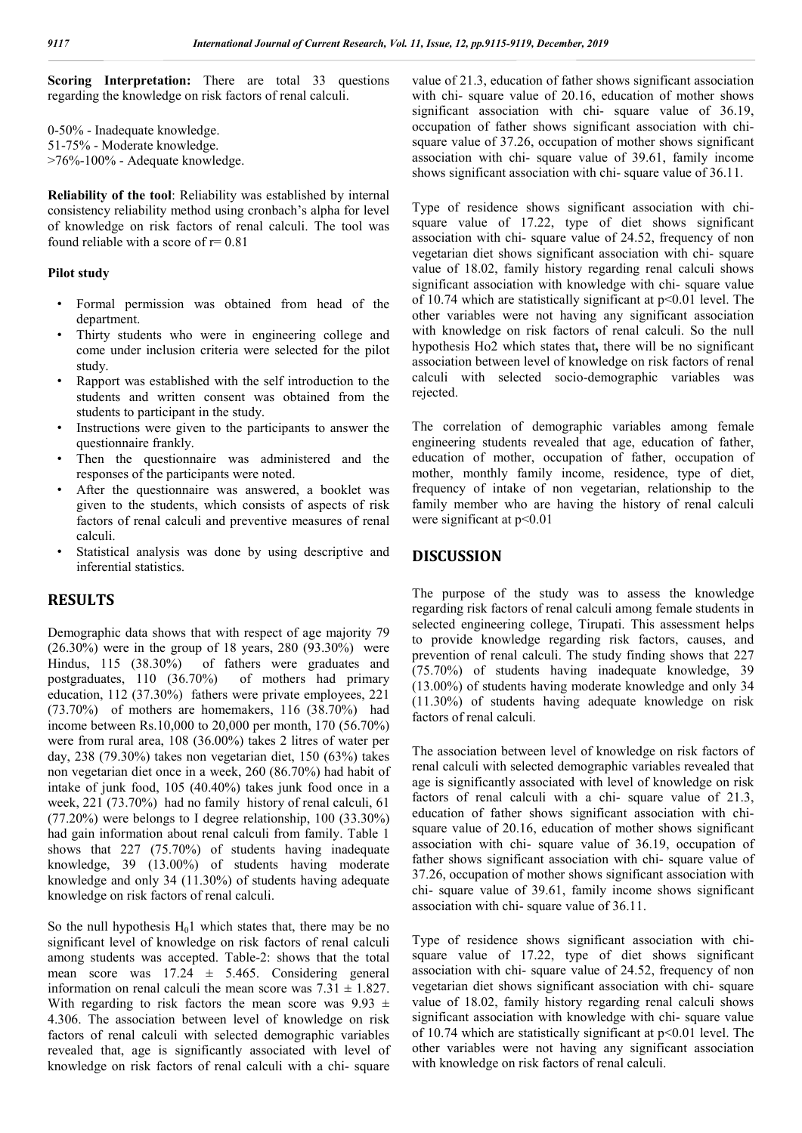**Scoring Interpretation:** There are total 33 questions regarding the knowledge on risk factors of renal calculi.

0-50% - Inadequate knowledge. 51-75% - Moderate knowledge. >76%-100% - Adequate knowledge.

**Reliability of the tool**: Reliability was established by internal consistency reliability method using cronbach's alpha for level of knowledge on risk factors of renal calculi. The tool was found reliable with a score of r= 0.81

#### **Pilot study**

- Formal permission was obtained from head of the department.
- Thirty students who were in engineering college and come under inclusion criteria were selected for the pilot study.
- Rapport was established with the self introduction to the students and written consent was obtained from the students to participant in the study.
- Instructions were given to the participants to answer the questionnaire frankly.
- Then the questionnaire was administered and the responses of the participants were noted.
- After the questionnaire was answered, a booklet was given to the students, which consists of aspects of risk factors of renal calculi and preventive measures of renal calculi.
- Statistical analysis was done by using descriptive and inferential statistics.

#### **RESULTS**

Demographic data shows that with respect of age majority 79 (26.30%) were in the group of 18 years, 280 (93.30%) were Hindus, 115 (38.30%) of fathers were graduates and postgraduates, 110 (36.70%) of mothers had primary education, 112 (37.30%) fathers were private employees, 221 (73.70%) of mothers are homemakers, 116 (38.70%) had income between Rs.10,000 to 20,000 per month, 170 (56.70%) were from rural area, 108 (36.00%) takes 2 litres of water per day, 238 (79.30%) takes non vegetarian diet, 150 (63%) takes non vegetarian diet once in a week, 260 (86.70%) had habit of intake of junk food, 105 (40.40%) takes junk food once in a week, 221 (73.70%) had no family history of renal calculi, 61 (77.20%) were belongs to I degree relationship, 100 (33.30%) had gain information about renal calculi from family. Table 1 shows that 227 (75.70%) of students having inadequate knowledge, 39 (13.00%) of students having moderate knowledge and only 34 (11.30%) of students having adequate knowledge on risk factors of renal calculi.

So the null hypothesis  $H_01$  which states that, there may be no significant level of knowledge on risk factors of renal calculi among students was accepted. Table-2: shows that the total mean score was  $17.24 \pm 5.465$ . Considering general information on renal calculi the mean score was  $7.31 \pm 1.827$ . With regarding to risk factors the mean score was  $9.93 \pm$ 4.306. The association between level of knowledge on risk factors of renal calculi with selected demographic variables revealed that, age is significantly associated with level of knowledge on risk factors of renal calculi with a chi- square

value of 21.3, education of father shows significant association with chi- square value of 20.16, education of mother shows significant association with chi- square value of 36.19, occupation of father shows significant association with chisquare value of 37.26, occupation of mother shows significant association with chi- square value of 39.61, family income shows significant association with chi- square value of 36.11.

Type of residence shows significant association with chisquare value of 17.22, type of diet shows significant association with chi- square value of 24.52, frequency of non vegetarian diet shows significant association with chi- square value of 18.02, family history regarding renal calculi shows significant association with knowledge with chi- square value of 10.74 which are statistically significant at  $p<0.01$  level. The other variables were not having any significant association with knowledge on risk factors of renal calculi. So the null hypothesis Ho2 which states that**,** there will be no significant association between level of knowledge on risk factors of renal calculi with selected socio-demographic variables was rejected.

The correlation of demographic variables among female engineering students revealed that age, education of father, education of mother, occupation of father, occupation of mother, monthly family income, residence, type of diet, frequency of intake of non vegetarian, relationship to the family member who are having the history of renal calculi were significant at  $p<0.01$ 

#### **DISCUSSION**

The purpose of the study was to assess the knowledge regarding risk factors of renal calculi among female students in selected engineering college, Tirupati. This assessment helps to provide knowledge regarding risk factors, causes, and prevention of renal calculi. The study finding shows that 227 (75.70%) of students having inadequate knowledge, 39 (13.00%) of students having moderate knowledge and only 34 (11.30%) of students having adequate knowledge on risk factors of renal calculi.

The association between level of knowledge on risk factors of renal calculi with selected demographic variables revealed that age is significantly associated with level of knowledge on risk factors of renal calculi with a chi- square value of 21.3, education of father shows significant association with chisquare value of 20.16, education of mother shows significant association with chi- square value of 36.19, occupation of father shows significant association with chi- square value of 37.26, occupation of mother shows significant association with chi- square value of 39.61, family income shows significant association with chi- square value of 36.11.

Type of residence shows significant association with chisquare value of 17.22, type of diet shows significant association with chi- square value of 24.52, frequency of non vegetarian diet shows significant association with chi- square value of 18.02, family history regarding renal calculi shows significant association with knowledge with chi- square value of 10.74 which are statistically significant at p<0.01 level. The other variables were not having any significant association with knowledge on risk factors of renal calculi.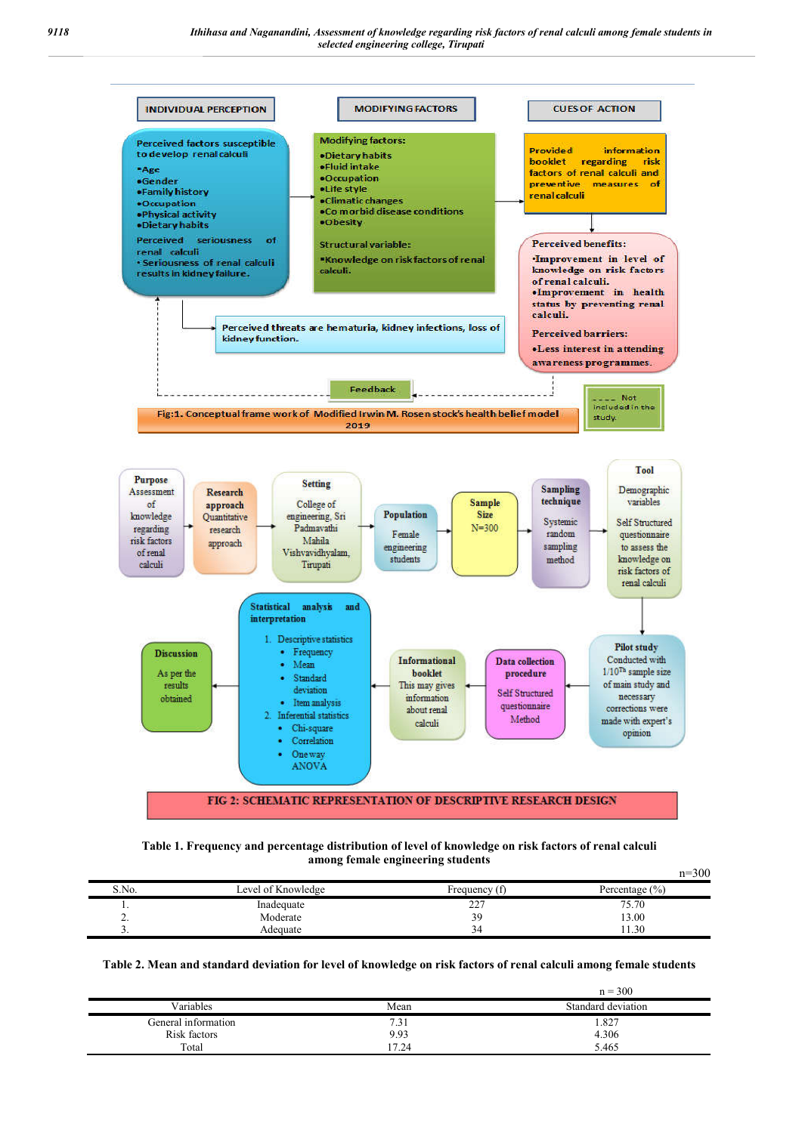

| Table 1. Frequency and percentage distribution of level of knowledge on risk factors of renal calculi |  |  |  |
|-------------------------------------------------------------------------------------------------------|--|--|--|
| among female engineering students                                                                     |  |  |  |

|          |                    |               | $n=300$            |
|----------|--------------------|---------------|--------------------|
| S.No.    | Level of Knowledge | Frequency (f) | Percentage $(\% )$ |
| . .      | Inadequate         | つつつ<br>∠∠     | 75.70              |
| <u>.</u> | Moderate           | 39            | 13.00              |
| J.       | Adequate           | 34            | 1.30               |

**Table 2. Mean and standard deviation for level of knowledge on risk factors of renal calculi among female students**

|                     |       | $n = 300$          |
|---------------------|-------|--------------------|
| Variables           | Mean  | Standard deviation |
| General information | 7.31  | 1.827              |
| Risk factors        | 9.93  | 4.306              |
| Total               | 17.24 | 5.465              |